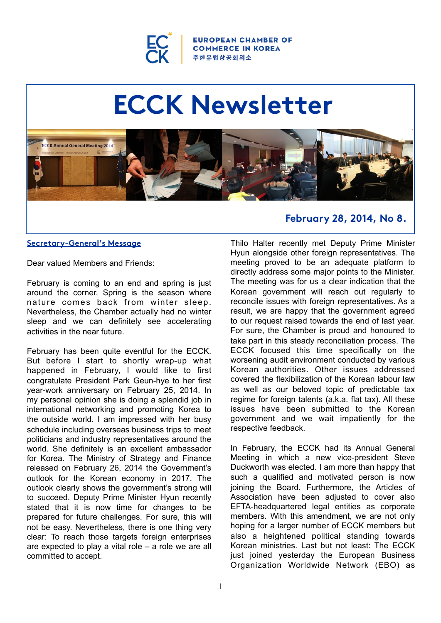

**IN CHAMBER OF COMMERCE IN KOREA** 주 한 유 럽 상 공 회 의 소

# **ECCK Newsletter**



#### **Secretary-General's Message**

Dear valued Members and Friends:

February is coming to an end and spring is just around the corner. Spring is the season where nature comes back from winter sleep. Nevertheless, the Chamber actually had no winter sleep and we can definitely see accelerating activities in the near future.

February has been quite eventful for the ECCK. But before I start to shortly wrap-up what happened in February, I would like to first congratulate President Park Geun-hye to her first year-work anniversary on February 25, 2014. In my personal opinion she is doing a splendid job in international networking and promoting Korea to the outside world. I am impressed with her busy schedule including overseas business trips to meet politicians and industry representatives around the world. She definitely is an excellent ambassador for Korea. The Ministry of Strategy and Finance released on February 26, 2014 the Government's outlook for the Korean economy in 2017. The outlook clearly shows the government's strong will to succeed. Deputy Prime Minister Hyun recently stated that it is now time for changes to be prepared for future challenges. For sure, this will not be easy. Nevertheless, there is one thing very clear: To reach those targets foreign enterprises are expected to play a vital role – a role we are all committed to accept.

## **February 28, 2014, No 8.**

Thilo Halter recently met Deputy Prime Minister Hyun alongside other foreign representatives. The meeting proved to be an adequate platform to directly address some major points to the Minister. The meeting was for us a clear indication that the Korean government will reach out regularly to reconcile issues with foreign representatives. As a result, we are happy that the government agreed to our request raised towards the end of last year. For sure, the Chamber is proud and honoured to take part in this steady reconciliation process. The ECCK focused this time specifically on the worsening audit environment conducted by various Korean authorities. Other issues addressed covered the flexibilization of the Korean labour law as well as our beloved topic of predictable tax regime for foreign talents (a.k.a. flat tax). All these issues have been submitted to the Korean government and we wait impatiently for the respective feedback.

In February, the ECCK had its Annual General Meeting in which a new vice-president Steve Duckworth was elected. I am more than happy that such a qualified and motivated person is now joining the Board. Furthermore, the Articles of Association have been adjusted to cover also EFTA-headquartered legal entities as corporate members. With this amendment, we are not only hoping for a larger number of ECCK members but also a heightened political standing towards Korean ministries. Last but not least: The ECCK just joined yesterday the European Business Organization Worldwide Network (EBO) as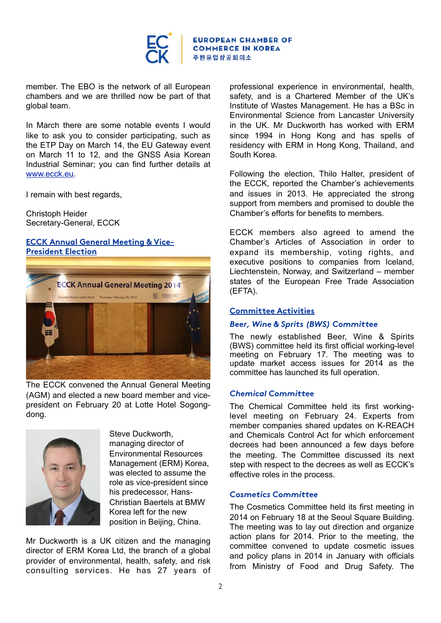

member. The EBO is the network of all European chambers and we are thrilled now be part of that global team.

In March there are some notable events I would like to ask you to consider participating, such as the ETP Day on March 14, the EU Gateway event on March 11 to 12, and the GNSS Asia Korean Industrial Seminar; you can find further details at [www.ecck.eu.](http://www.ecck.eu/)

I remain with best regards,

Christoph Heider Secretary-General, ECCK

#### **ECCK Annual General Meeting & Vice-President Election**



The ECCK convened the Annual General Meeting (AGM) and elected a new board member and vicepresident on February 20 at Lotte Hotel Sogongdong.



Steve Duckworth, managing director of Environmental Resources Management (ERM) Korea, was elected to assume the role as vice-president since his predecessor, Hans-Christian Baertels at BMW Korea left for the new position in Beijing, China.

Mr Duckworth is a UK citizen and the managing director of ERM Korea Ltd, the branch of a global provider of environmental, health, safety, and risk consulting services. He has 27 years of

professional experience in environmental, health, safety, and is a Chartered Member of the UK's Institute of Wastes Management. He has a BSc in Environmental Science from Lancaster University in the UK. Mr Duckworth has worked with ERM since 1994 in Hong Kong and has spells of residency with ERM in Hong Kong, Thailand, and South Korea.

Following the election, Thilo Halter, president of the ECCK, reported the Chamber's achievements and issues in 2013. He appreciated the strong support from members and promised to double the Chamber's efforts for benefits to members.

ECCK members also agreed to amend the Chamber's Articles of Association in order to expand its membership, voting rights, and executive positions to companies from Iceland, Liechtenstein, Norway, and Switzerland – member states of the European Free Trade Association (EFTA).

#### **Committee Activities**

#### *Beer, Wine & Sprits (BWS) Committee*

The newly established Beer, Wine & Spirits (BWS) committee held its first official working-level meeting on February 17. The meeting was to update market access issues for 2014 as the committee has launched its full operation.

#### *Chemical Committee*

The Chemical Committee held its first workinglevel meeting on February 24. Experts from member companies shared updates on K-REACH and Chemicals Control Act for which enforcement decrees had been announced a few days before the meeting. The Committee discussed its next step with respect to the decrees as well as ECCK's effective roles in the process.

#### *Cosmetics Committee*

The Cosmetics Committee held its first meeting in 2014 on February 18 at the Seoul Square Building. The meeting was to lay out direction and organize action plans for 2014. Prior to the meeting, the committee convened to update cosmetic issues and policy plans in 2014 in January with officials from Ministry of Food and Drug Safety. The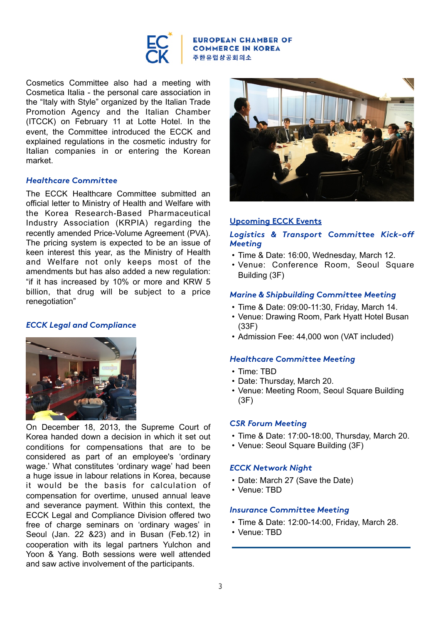

#### **EUROPEAN CHAMBER OF COMMERCE IN KOREA** 주한유럽상공회의소

Cosmetics Committee also had a meeting with Cosmetica Italia - the personal care association in the "Italy with Style" organized by the Italian Trade Promotion Agency and the Italian Chamber (ITCCK) on February 11 at Lotte Hotel. In the event, the Committee introduced the ECCK and explained regulations in the cosmetic industry for Italian companies in or entering the Korean market.

#### *Healthcare Committee*

The ECCK Healthcare Committee submitted an official letter to Ministry of Health and Welfare with the Korea Research-Based Pharmaceutical Industry Association (KRPIA) regarding the recently amended Price-Volume Agreement (PVA). The pricing system is expected to be an issue of keen interest this year, as the Ministry of Health and Welfare not only keeps most of the amendments but has also added a new regulation: "if it has increased by 10% or more and KRW 5 billion, that drug will be subject to a price renegotiation"

## *ECCK Legal and Compliance*



On December 18, 2013, the Supreme Court of Korea handed down a decision in which it set out conditions for compensations that are to be considered as part of an employee's 'ordinary wage.' What constitutes 'ordinary wage' had been a huge issue in labour relations in Korea, because it would be the basis for calculation of compensation for overtime, unused annual leave and severance payment. Within this context, the ECCK Legal and Compliance Division offered two free of charge seminars on 'ordinary wages' in Seoul (Jan. 22 &23) and in Busan (Feb.12) in cooperation with its legal partners Yulchon and Yoon & Yang. Both sessions were well attended and saw active involvement of the participants.



## **Upcoming ECCK Events**

## *Logistics & Transport Committee Kick-off Meeting*

- Time & Date: 16:00, Wednesday, March 12.
- Venue: Conference Room, Seoul Square Building (3F)

## *Marine & Shipbuilding Committee Meeting*

- Time & Date: 09:00-11:30, Friday, March 14.
- Venue: Drawing Room, Park Hyatt Hotel Busan (33F)
- Admission Fee: 44,000 won (VAT included)

## *Healthcare Committee Meeting*

- Time: TBD
- Date: Thursday, March 20.
- Venue: Meeting Room, Seoul Square Building (3F)

## *CSR Forum Meeting*

- Time & Date: 17:00-18:00, Thursday, March 20.
- Venue: Seoul Square Building (3F)

## *ECCK Network Night*

- Date: March 27 (Save the Date)
- Venue: TBD

#### *Insurance Committee Meeting*

- Time & Date: 12:00-14:00, Friday, March 28.
- Venue: TBD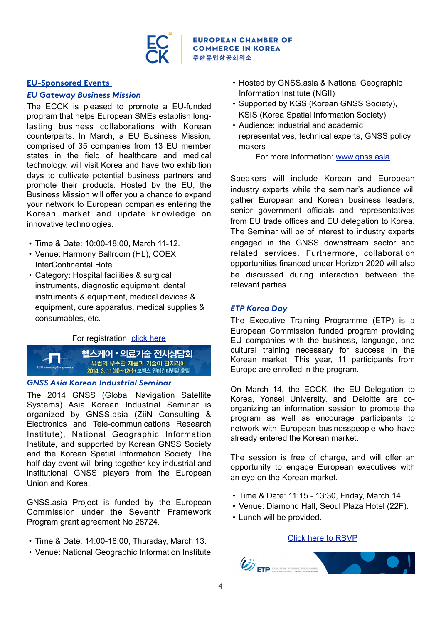

#### **EU-Sponsored Events**

#### *EU Gateway Business Mission*

The ECCK is pleased to promote a EU-funded program that helps European SMEs establish longlasting business collaborations with Korean counterparts. In March, a EU Business Mission, comprised of 35 companies from 13 EU member states in the field of healthcare and medical technology, will visit Korea and have two exhibition days to cultivate potential business partners and promote their products. Hosted by the EU, the Business Mission will offer you a chance to expand your network to European companies entering the Korean market and update knowledge on innovative technologies.

- Time & Date: 10:00-18:00, March 11-12.
- Venue: Harmony Ballroom (HL), COEX InterContinental Hotel
- Category: Hospital facilities & surgical instruments, diagnostic equipment, dental instruments & equipment, medical devices & equipment, cure apparatus, medical supplies & consumables, etc.

#### For registration, [click here](http://www.eu-gateway.kr/euro/EventCompanyRegi2.jsp)



#### *GNSS Asia Korean Industrial Seminar*

The 2014 GNSS (Global Navigation Satellite Systems) Asia Korean Industrial Seminar is organized by GNSS.asia (ZiiN Consulting & Electronics and Tele-communications Research Institute), National Geographic Information Institute, and supported by Korean GNSS Society and the Korean Spatial Information Society. The half-day event will bring together key industrial and institutional GNSS players from the European Union and Korea.

GNSS.asia Project is funded by the European Commission under the Seventh Framework Program grant agreement No 28724.

- Time & Date: 14:00-18:00, Thursday, March 13.
- Venue: National Geographic Information Institute
- Hosted by GNSS.asia & National Geographic Information Institute (NGII)
- Supported by KGS (Korean GNSS Society), KSIS (Korea Spatial Information Society)
- Audience: industrial and academic representatives, technical experts, GNSS policy makers

For more information: [www.gnss.asia](http://www.gnss.asia)

Speakers will include Korean and European industry experts while the seminar's audience will gather European and Korean business leaders, senior government officials and representatives from EU trade offices and EU delegation to Korea. The Seminar will be of interest to industry experts engaged in the GNSS downstream sector and related services. Furthermore, collaboration opportunities financed under Horizon 2020 will also be discussed during interaction between the relevant parties.

#### *ETP Korea Day*

The Executive Training Programme (ETP) is a European Commission funded program providing EU companies with the business, language, and cultural training necessary for success in the Korean market. This year, 11 participants from Europe are enrolled in the program.

On March 14, the ECCK, the EU Delegation to Korea, Yonsei University, and Deloitte are coorganizing an information session to promote the program as well as encourage participants to network with European businesspeople who have already entered the Korean market.

The session is free of charge, and will offer an opportunity to engage European executives with an eye on the Korean market.

- Time & Date: 11:15 13:30, Friday, March 14.
- Venue: Diamond Hall, Seoul Plaza Hotel (22F).
- Lunch will be provided.

#### [Click here to RSVP](https://docs.google.com/forms/d/18Co5AYBWSU9fm0zFu8xLXoN7fzbnPJlKNVAOyweRVNg/viewform)

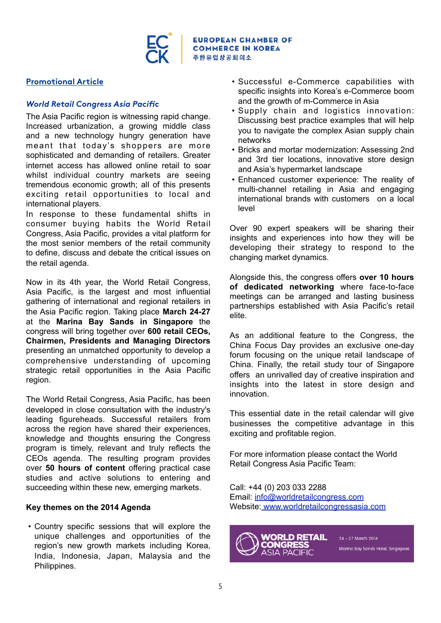

## **Promotional Article**

## *World Retail Congress Asia Pacific*

The Asia Pacific region is witnessing rapid change. Increased urbanization, a growing middle class and a new technology hungry generation have meant that today's shoppers are more sophisticated and demanding of retailers. Greater internet access has allowed online retail to soar whilst individual country markets are seeing tremendous economic growth; all of this presents exciting retail opportunities to local and international players.

In response to these fundamental shifts in consumer buying habits the World Retail Congress, Asia Pacific, provides a vital platform for the most senior members of the retail community to define, discuss and debate the critical issues on the retail agenda.

Now in its 4th year, the World Retail Congress, Asia Pacific, is the largest and most influential gathering of international and regional retailers in the Asia Pacific region. Taking place **March 24-27** at the **Marina Bay Sands in Singapore** the congress will bring together over **600 retail CEOs, Chairmen, Presidents and Managing Directors** presenting an unmatched opportunity to develop a comprehensive understanding of upcoming strategic retail opportunities in the Asia Pacific region.

The World Retail Congress, Asia Pacific, has been developed in close consultation with the industry's leading figureheads. Successful retailers from across the region have shared their experiences, knowledge and thoughts ensuring the Congress program is timely, relevant and truly reflects the CEOs agenda. The resulting program provides over **50 hours of content** offering practical case studies and active solutions to entering and succeeding within these new, emerging markets.

## **Key themes on the 2014 Agenda**

• Country specific sessions that will explore the unique challenges and opportunities of the region's new growth markets including Korea, India, Indonesia, Japan, Malaysia and the Philippines.

- Successful e-Commerce capabilities with specific insights into Korea's e-Commerce boom and the growth of m-Commerce in Asia
- Supply chain and logistics innovation: Discussing best practice examples that will help you to navigate the complex Asian supply chain networks
- Bricks and mortar modernization: Assessing 2nd and 3rd tier locations, innovative store design and Asia's hypermarket landscape
- Enhanced customer experience: The reality of multi-channel retailing in Asia and engaging international brands with customers on a local level

Over 90 expert speakers will be sharing their insights and experiences into how they will be developing their strategy to respond to the changing market dynamics.

Alongside this, the congress offers **over 10 hours of dedicated networking** where face-to-face meetings can be arranged and lasting business partnerships established with Asia Pacific's retail elite.

As an additional feature to the Congress, the China Focus Day provides an exclusive one-day forum focusing on the unique retail landscape of China. Finally, the retail study tour of Singapore offers an unrivalled day of creative inspiration and insights into the latest in store design and innovation.

This essential date in the retail calendar will give businesses the competitive advantage in this exciting and profitable region.

For more information please contact the World Retail Congress Asia Pacific Team:

Call: +44 (0) 203 033 2288 Email: [info@worldretailcongress.com](mailto:info@worldretailcongress.com) Website[: www.worldretailcongressasia.com](http://www.worldretailcongressasia.com/)



24 - 27 March 2014 .<br>Marina Bay Sands Hotel, Singapore